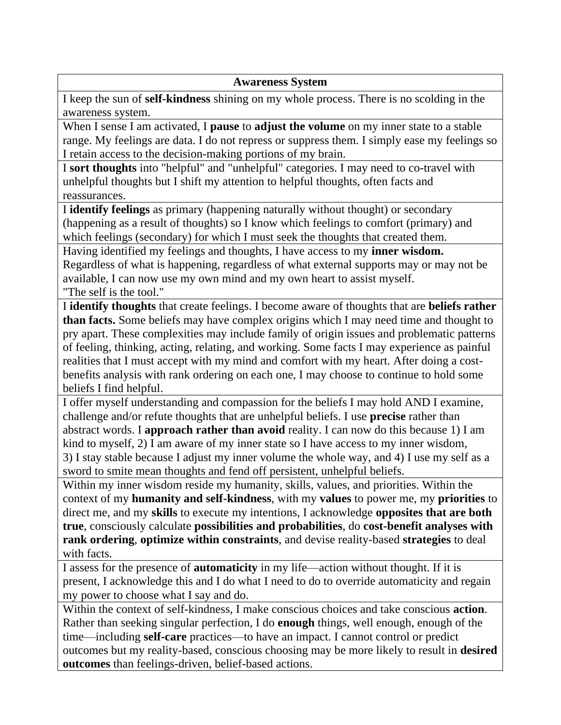## **Awareness System**

I keep the sun of **self-kindness** shining on my whole process. There is no scolding in the awareness system.

When I sense I am activated, I **pause** to **adjust the volume** on my inner state to a stable range. My feelings are data. I do not repress or suppress them. I simply ease my feelings so I retain access to the decision-making portions of my brain.

I **sort thoughts** into "helpful" and "unhelpful" categories. I may need to co-travel with unhelpful thoughts but I shift my attention to helpful thoughts, often facts and reassurances.

I **identify feelings** as primary (happening naturally without thought) or secondary (happening as a result of thoughts) so I know which feelings to comfort (primary) and which feelings (secondary) for which I must seek the thoughts that created them.

Having identified my feelings and thoughts, I have access to my **inner wisdom.**  Regardless of what is happening, regardless of what external supports may or may not be available, I can now use my own mind and my own heart to assist myself. "The self is the tool."

I **identify thoughts** that create feelings. I become aware of thoughts that are **beliefs rather than facts.** Some beliefs may have complex origins which I may need time and thought to pry apart. These complexities may include family of origin issues and problematic patterns of feeling, thinking, acting, relating, and working. Some facts I may experience as painful realities that I must accept with my mind and comfort with my heart. After doing a costbenefits analysis with rank ordering on each one, I may choose to continue to hold some beliefs I find helpful.

I offer myself understanding and compassion for the beliefs I may hold AND I examine, challenge and/or refute thoughts that are unhelpful beliefs. I use **precise** rather than abstract words. I **approach rather than avoid** reality. I can now do this because 1) I am kind to myself, 2) I am aware of my inner state so I have access to my inner wisdom, 3) I stay stable because I adjust my inner volume the whole way, and 4) I use my self as a

sword to smite mean thoughts and fend off persistent, unhelpful beliefs.

Within my inner wisdom reside my humanity, skills, values, and priorities. Within the context of my **humanity and self-kindness**, with my **values** to power me, my **priorities** to direct me, and my **skills** to execute my intentions, I acknowledge **opposites that are both true**, consciously calculate **possibilities and probabilities**, do **cost-benefit analyses with rank ordering**, **optimize within constraints**, and devise reality-based **strategies** to deal with facts.

I assess for the presence of **automaticity** in my life—action without thought. If it is present, I acknowledge this and I do what I need to do to override automaticity and regain my power to choose what I say and do.

Within the context of self-kindness, I make conscious choices and take conscious **action**. Rather than seeking singular perfection, I do **enough** things, well enough, enough of the time—including **self-care** practices—to have an impact. I cannot control or predict outcomes but my reality-based, conscious choosing may be more likely to result in **desired outcomes** than feelings-driven, belief-based actions.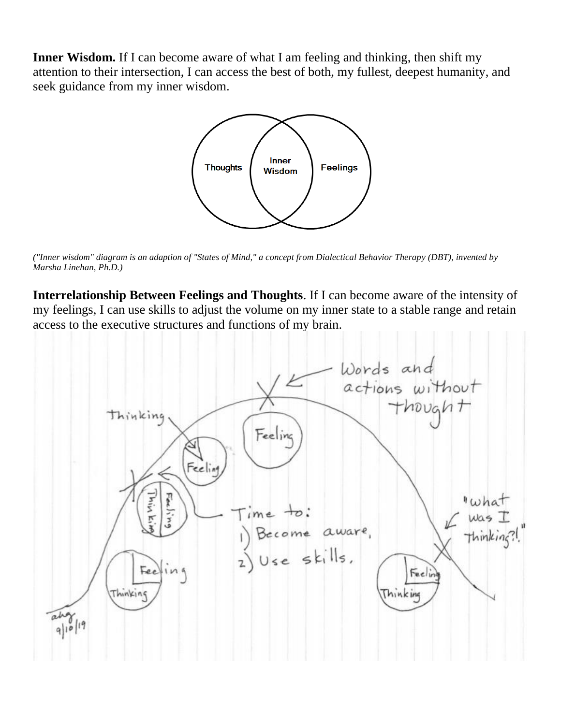Inner Wisdom. If I can become aware of what I am feeling and thinking, then shift my attention to their intersection, I can access the best of both, my fullest, deepest humanity, and seek guidance from my inner wisdom.



*("Inner wisdom" diagram is an adaption of "States of Mind," a concept from Dialectical Behavior Therapy (DBT), invented by Marsha Linehan, Ph.D.)*

**Interrelationship Between Feelings and Thoughts**. If I can become aware of the intensity of my feelings, I can use skills to adjust the volume on my inner state to a stable range and retain access to the executive structures and functions of my brain.